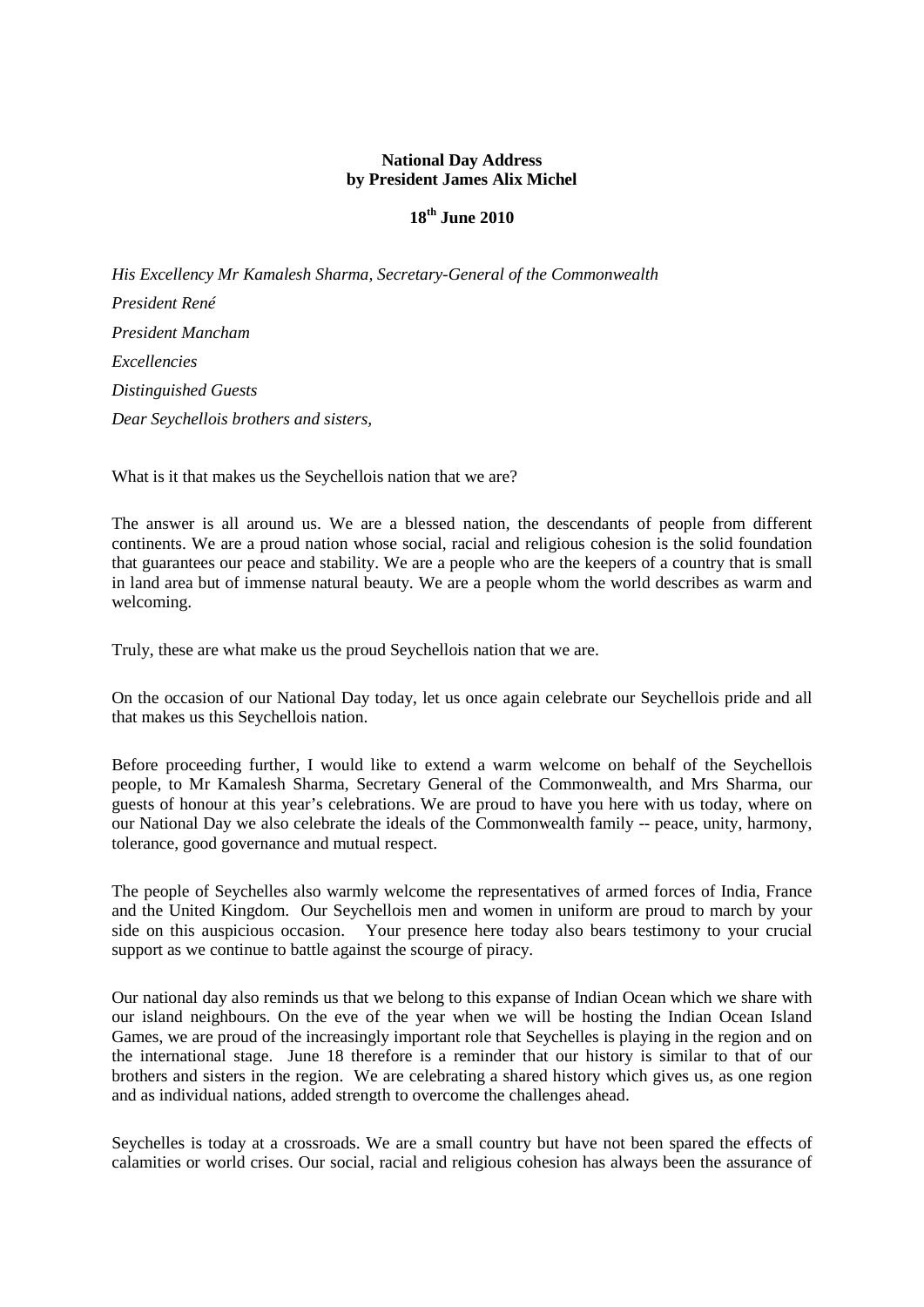# **National Day Address by President James Alix Michel**

# **18th June 2010**

*His Excellency Mr Kamalesh Sharma, Secretary-General of the Commonwealth President René President Mancham Excellencies Distinguished Guests Dear Seychellois brothers and sisters,*

What is it that makes us the Seychellois nation that we are?

The answer is all around us. We are a blessed nation, the descendants of people from different continents. We are a proud nation whose social, racial and religious cohesion is the solid foundation that guarantees our peace and stability. We are a people who are the keepers of a country that is small in land area but of immense natural beauty. We are a people whom the world describes as warm and welcoming.

Truly, these are what make us the proud Seychellois nation that we are.

On the occasion of our National Day today, let us once again celebrate our Seychellois pride and all that makes us this Seychellois nation.

Before proceeding further, I would like to extend a warm welcome on behalf of the Seychellois people, to Mr Kamalesh Sharma, Secretary General of the Commonwealth, and Mrs Sharma, our guests of honour at this year's celebrations. We are proud to have you here with us today, where on our National Day we also celebrate the ideals of the Commonwealth family -- peace, unity, harmony, tolerance, good governance and mutual respect.

The people of Seychelles also warmly welcome the representatives of armed forces of India, France and the United Kingdom. Our Seychellois men and women in uniform are proud to march by your side on this auspicious occasion. Your presence here today also bears testimony to your crucial support as we continue to battle against the scourge of piracy.

Our national day also reminds us that we belong to this expanse of Indian Ocean which we share with our island neighbours. On the eve of the year when we will be hosting the Indian Ocean Island Games, we are proud of the increasingly important role that Seychelles is playing in the region and on the international stage. June 18 therefore is a reminder that our history is similar to that of our brothers and sisters in the region. We are celebrating a shared history which gives us, as one region and as individual nations, added strength to overcome the challenges ahead.

Seychelles is today at a crossroads. We are a small country but have not been spared the effects of calamities or world crises. Our social, racial and religious cohesion has always been the assurance of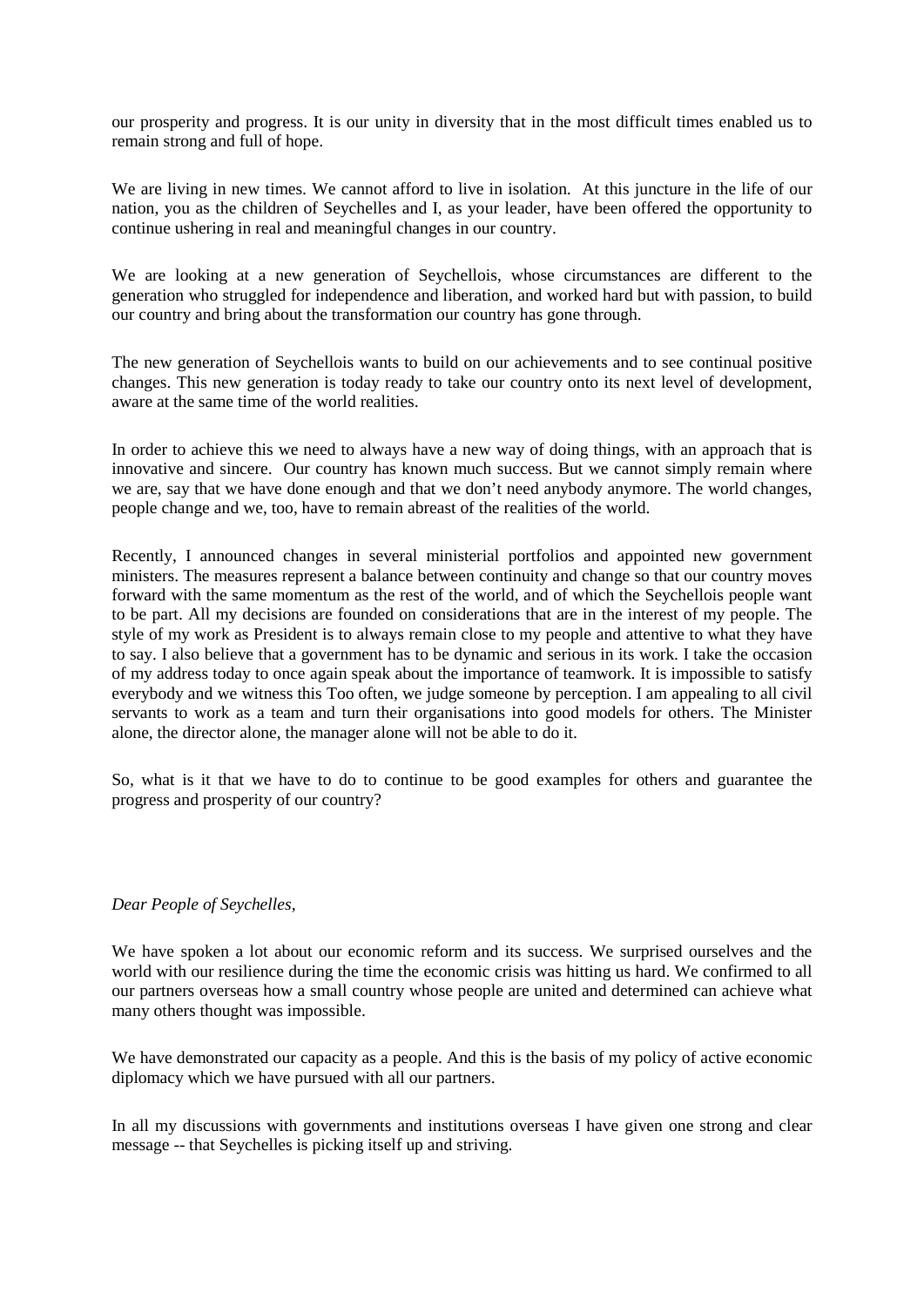our prosperity and progress. It is our unity in diversity that in the most difficult times enabled us to remain strong and full of hope.

We are living in new times. We cannot afford to live in isolation. At this juncture in the life of our nation, you as the children of Seychelles and I, as your leader, have been offered the opportunity to continue ushering in real and meaningful changes in our country.

We are looking at a new generation of Seychellois, whose circumstances are different to the generation who struggled for independence and liberation, and worked hard but with passion, to build our country and bring about the transformation our country has gone through.

The new generation of Seychellois wants to build on our achievements and to see continual positive changes. This new generation is today ready to take our country onto its next level of development, aware at the same time of the world realities.

In order to achieve this we need to always have a new way of doing things, with an approach that is innovative and sincere. Our country has known much success. But we cannot simply remain where we are, say that we have done enough and that we don't need anybody anymore. The world changes, people change and we, too, have to remain abreast of the realities of the world.

Recently, I announced changes in several ministerial portfolios and appointed new government ministers. The measures represent a balance between continuity and change so that our country moves forward with the same momentum as the rest of the world, and of which the Seychellois people want to be part. All my decisions are founded on considerations that are in the interest of my people. The style of my work as President is to always remain close to my people and attentive to what they have to say. I also believe that a government has to be dynamic and serious in its work. I take the occasion of my address today to once again speak about the importance of teamwork. It is impossible to satisfy everybody and we witness this Too often, we judge someone by perception. I am appealing to all civil servants to work as a team and turn their organisations into good models for others. The Minister alone, the director alone, the manager alone will not be able to do it.

So, what is it that we have to do to continue to be good examples for others and guarantee the progress and prosperity of our country?

#### *Dear People of Seychelles,*

We have spoken a lot about our economic reform and its success. We surprised ourselves and the world with our resilience during the time the economic crisis was hitting us hard. We confirmed to all our partners overseas how a small country whose people are united and determined can achieve what many others thought was impossible.

We have demonstrated our capacity as a people. And this is the basis of my policy of active economic diplomacy which we have pursued with all our partners.

In all my discussions with governments and institutions overseas I have given one strong and clear message -- that Seychelles is picking itself up and striving.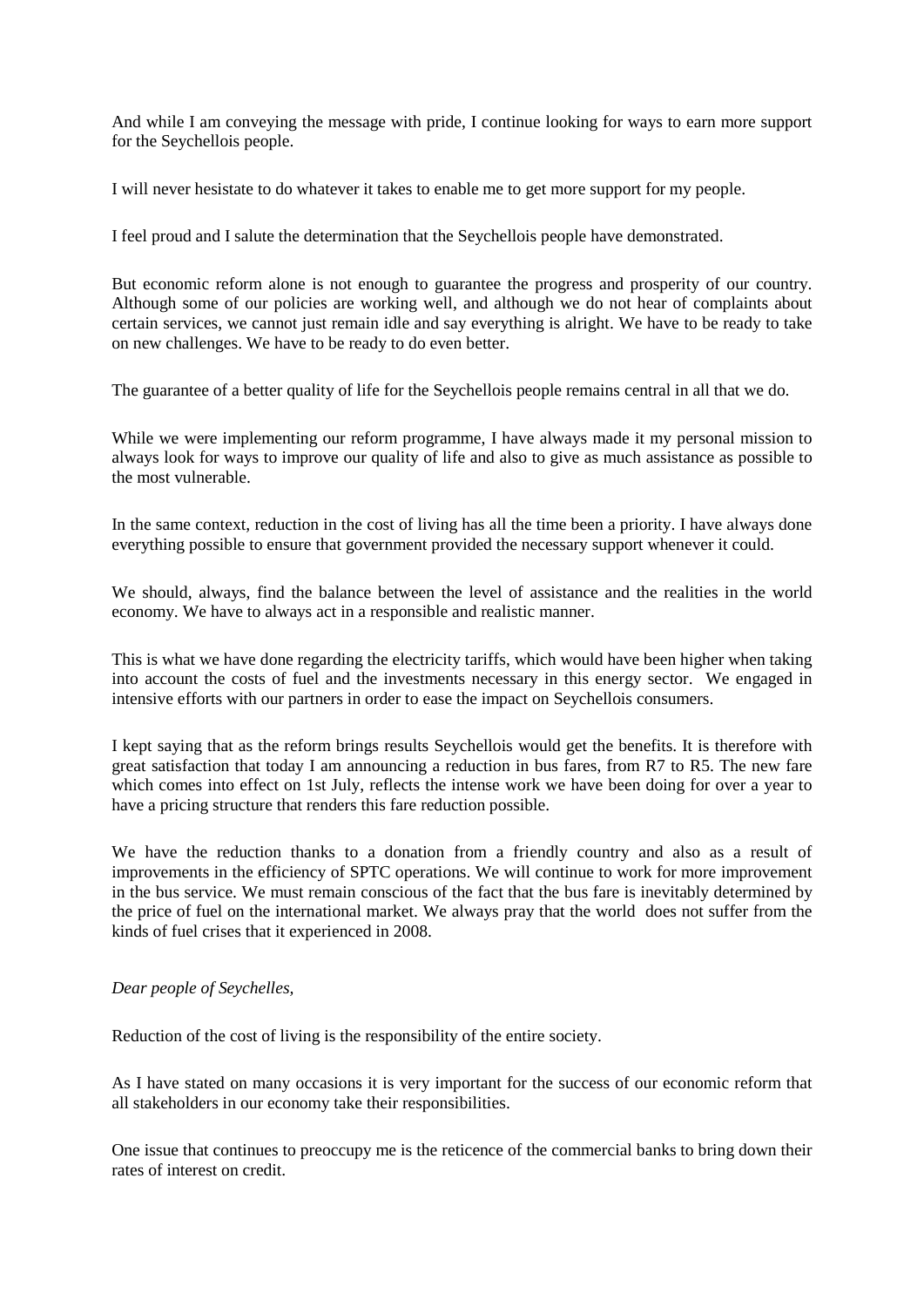And while I am conveying the message with pride, I continue looking for ways to earn more support for the Seychellois people.

I will never hesistate to do whatever it takes to enable me to get more support for my people.

I feel proud and I salute the determination that the Seychellois people have demonstrated.

But economic reform alone is not enough to guarantee the progress and prosperity of our country. Although some of our policies are working well, and although we do not hear of complaints about certain services, we cannot just remain idle and say everything is alright. We have to be ready to take on new challenges. We have to be ready to do even better.

The guarantee of a better quality of life for the Seychellois people remains central in all that we do.

While we were implementing our reform programme. I have always made it my personal mission to always look for ways to improve our quality of life and also to give as much assistance as possible to the most vulnerable.

In the same context, reduction in the cost of living has all the time been a priority. I have always done everything possible to ensure that government provided the necessary support whenever it could.

We should, always, find the balance between the level of assistance and the realities in the world economy. We have to always act in a responsible and realistic manner.

This is what we have done regarding the electricity tariffs, which would have been higher when taking into account the costs of fuel and the investments necessary in this energy sector. We engaged in intensive efforts with our partners in order to ease the impact on Seychellois consumers.

I kept saying that as the reform brings results Seychellois would get the benefits. It is therefore with great satisfaction that today I am announcing a reduction in bus fares, from R7 to R5. The new fare which comes into effect on 1st July, reflects the intense work we have been doing for over a year to have a pricing structure that renders this fare reduction possible.

We have the reduction thanks to a donation from a friendly country and also as a result of improvements in the efficiency of SPTC operations. We will continue to work for more improvement in the bus service. We must remain conscious of the fact that the bus fare is inevitably determined by the price of fuel on the international market. We always pray that the world does not suffer from the kinds of fuel crises that it experienced in 2008.

#### *Dear people of Seychelles,*

Reduction of the cost of living is the responsibility of the entire society.

As I have stated on many occasions it is very important for the success of our economic reform that all stakeholders in our economy take their responsibilities.

One issue that continues to preoccupy me is the reticence of the commercial banks to bring down their rates of interest on credit.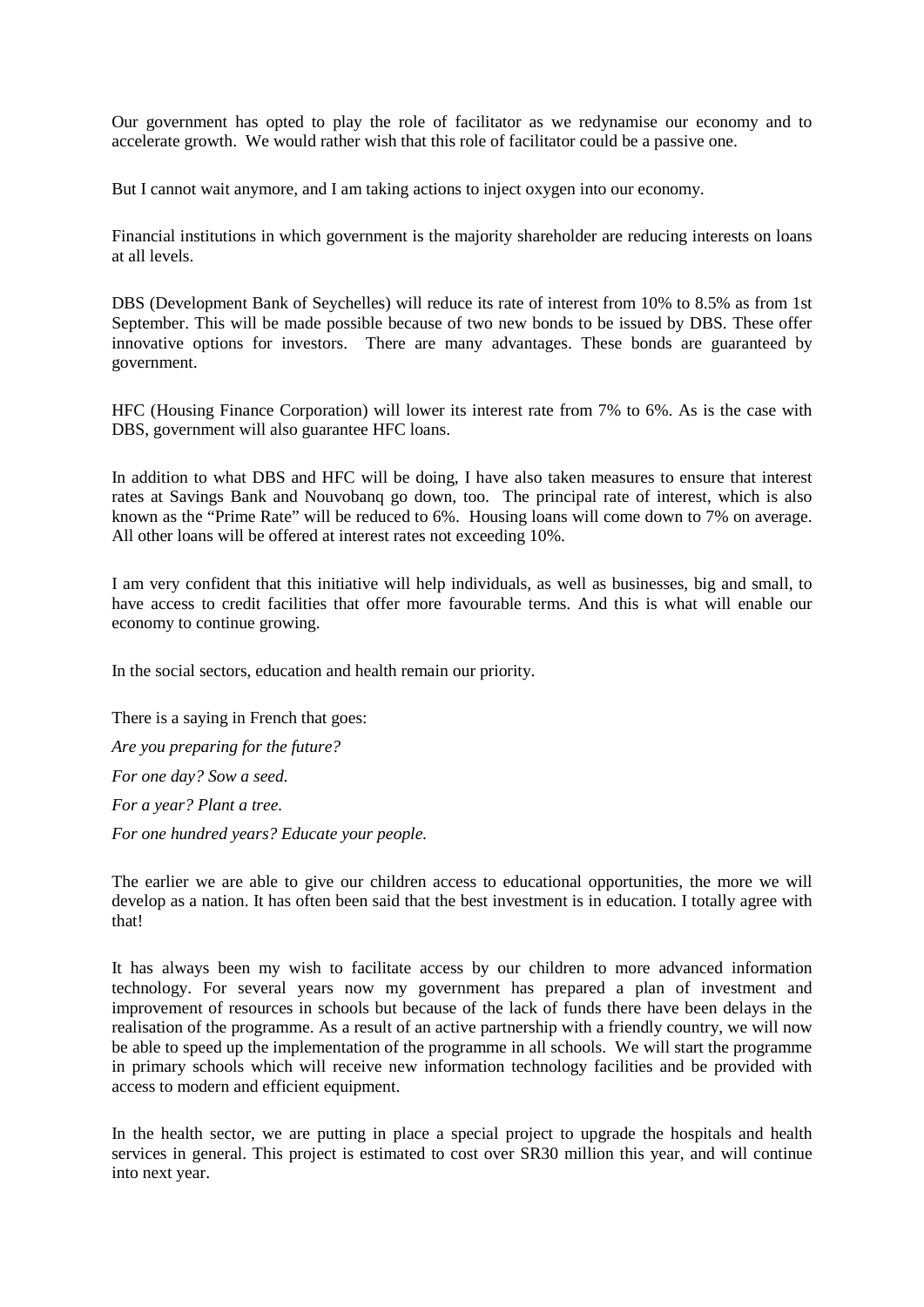Our government has opted to play the role of facilitator as we redynamise our economy and to accelerate growth. We would rather wish that this role of facilitator could be a passive one.

But I cannot wait anymore, and I am taking actions to inject oxygen into our economy.

Financial institutions in which government is the majority shareholder are reducing interests on loans at all levels.

DBS (Development Bank of Seychelles) will reduce its rate of interest from 10% to 8.5% as from 1st September. This will be made possible because of two new bonds to be issued by DBS. These offer innovative options for investors. There are many advantages. These bonds are guaranteed by government.

HFC (Housing Finance Corporation) will lower its interest rate from 7% to 6%. As is the case with DBS, government will also guarantee HFC loans.

In addition to what DBS and HFC will be doing, I have also taken measures to ensure that interest rates at Savings Bank and Nouvobanq go down, too. The principal rate of interest, which is also known as the "Prime Rate" will be reduced to 6%. Housing loans will come down to 7% on average. All other loans will be offered at interest rates not exceeding 10%.

I am very confident that this initiative will help individuals, as well as businesses, big and small, to have access to credit facilities that offer more favourable terms. And this is what will enable our economy to continue growing.

In the social sectors, education and health remain our priority.

There is a saying in French that goes: *Are you preparing for the future? For one day? Sow a seed. For a year? Plant a tree. For one hundred years? Educate your people.*

The earlier we are able to give our children access to educational opportunities, the more we will develop as a nation. It has often been said that the best investment is in education. I totally agree with that!

It has always been my wish to facilitate access by our children to more advanced information technology. For several years now my government has prepared a plan of investment and improvement of resources in schools but because of the lack of funds there have been delays in the realisation of the programme. As a result of an active partnership with a friendly country, we will now be able to speed up the implementation of the programme in all schools. We will start the programme in primary schools which will receive new information technology facilities and be provided with access to modern and efficient equipment.

In the health sector, we are putting in place a special project to upgrade the hospitals and health services in general. This project is estimated to cost over SR30 million this year, and will continue into next year.